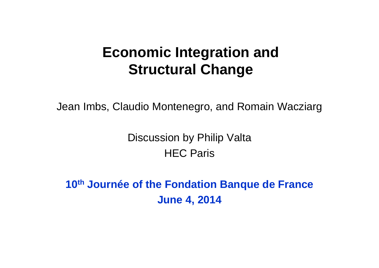#### **Economic Integration and Structural Change**

Jean Imbs, Claudio Montenegro, and Romain Wacziarg

Discussion by Philip Valta HEC Paris

**10th Journée of the Fondation Banque de France June 4, 2014**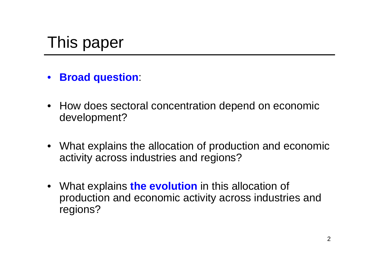# This paper

- $\bullet$ **Broad question**:
- How does sectoral concentration depend on economic development?
- What explains the allocation of production and economic activity across industries and regions?
- What explains **the evolution** in this allocation of production and economic activity across industries and regions?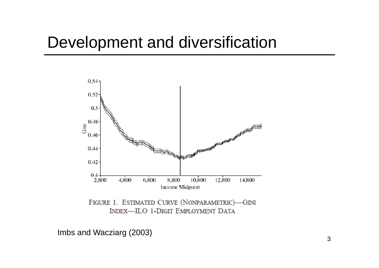#### Development and diversification



FIGURE 1. ESTIMATED CURVE (NONPARAMETRIC)-GINI INDEX-ILO 1-DIGIT EMPLOYMENT DATA

Imbs and Wacziarg (2003)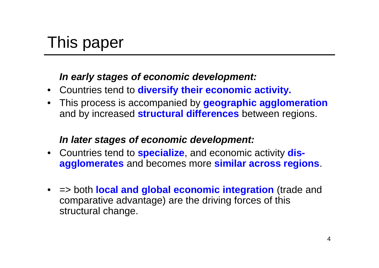# This paper

#### *In early stages of economic development:*

- Countries tend to **diversify their economic activity.**
- This process is accompanied by **geographic agglomeration** and by increased **structural differences** between regions.

#### *In later stages of economic development:*

- Countries tend to **specialize**, and economic activity **disagglomerates** and becomes more **similar across regions**.
- => both **local and global economic integration** (trade and comparative advantage) are the driving forces of this structural change.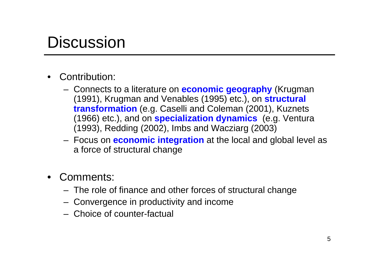#### **Discussion**

- • Contribution:
	- Connects to a literature on **economic geography** (Krugman (1991), Krugman and Venables (1995) etc.), on **structural transformation** (e.g. Caselli and Coleman (2001), Kuznets (1966) etc.), and on **specialization dynamics** (e.g. Ventura (1993), Redding (2002), Imbs and Wacziarg (2003)
	- Focus on **economic integration** at the local and global level as a force of structural change
- $\bullet$  Comments:
	- The role of finance and other forces of structural change
	- Convergence in productivity and income
	- Choice of counter-factual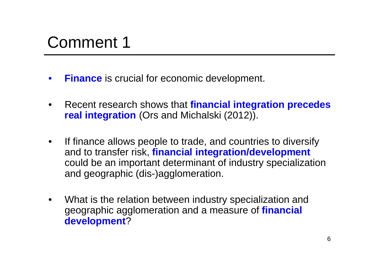- $\bullet$ **Finance** is crucial for economic development.
- • Recent research shows that **financial integration precedes real integration** (Ors and Michalski (2012)).
- $\bullet$  If finance allows people to trade, and countries to diversify and to transfer risk, **financial integration/development**  could be an important determinant of industry specialization and geographic (dis-)agglomeration.
- $\bullet$  What is the relation between industry specialization and geographic agglomeration and a measure of **financial development**?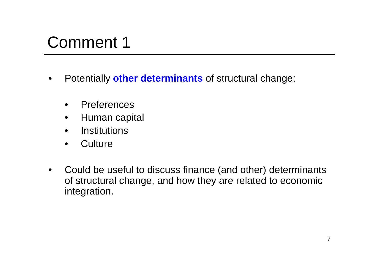- • Potentially **other determinants** of structural change:
	- $\bullet$ Preferences
	- $\bullet$ Human capital
	- •**Institutions**
	- •**Culture**
- $\bullet$  Could be useful to discuss finance (and other) determinants of structural change, and how they are related to economic integration.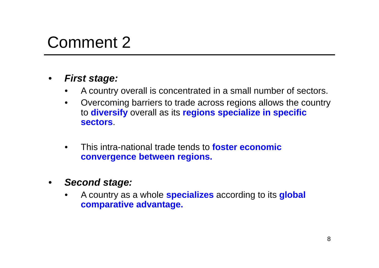- $\bullet$  *First stage:*
	- •A country overall is concentrated in a small number of sectors.
	- • Overcoming barriers to trade across regions allows the country to **diversify** overall as its **regions specialize in specific sectors**.
	- $\bullet$  This intra-national trade tends to **foster economic convergence between regions.**
- $\bullet$  *Second stage:*
	- • A country as a whole **specializes** according to its **global comparative advantage.**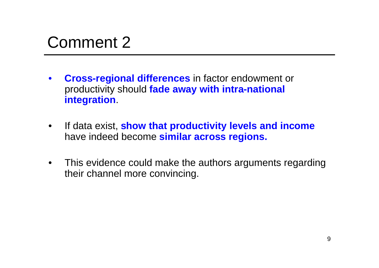- $\bullet$  **Cross-regional differences** in factor endowment or productivity should **fade away with intra-national integration**.
- $\bullet$  If data exist, **show that productivity levels and income**  have indeed become **similar across regions.**
- $\bullet$  This evidence could make the authors arguments regarding their channel more convincing.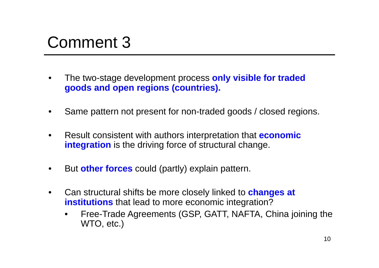- • The two-stage development process **only visible for traded goods and open regions (countries).**
- •Same pattern not present for non-traded goods / closed regions.
- $\bullet$  Result consistent with authors interpretation that **economic integration** is the driving force of structural change.
- •But **other forces** could (partly) explain pattern.
- $\bullet$  Can structural shifts be more closely linked to **changes at institutions** that lead to more economic integration?
	- • Free-Trade Agreements (GSP, GATT, NAFTA, China joining the WTO, etc.)